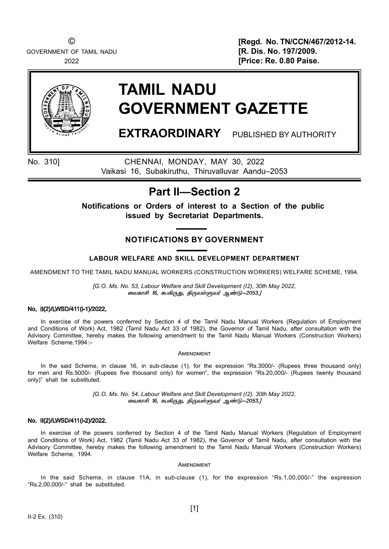GOVERNMENT OF TAMIL NADU **EXECUTE:** THE SOLUTION OF TAMIL NADU

© [Regd. No. TN/CCN/467/2012-14. 2022 [Price: Re. 0.80 Paise.



# TAMIL NADU GOVERNMENT GAZETTE

EXTRAORDINARY PUBLISHED BY AUTHORITY

No. 310] CHENNAI, MONDAY, MAY 30, 2022 Vaikasi 16, Subakiruthu, Thiruvalluvar Aandu–2053

# Part II—Section 2

Notifications or Orders of interest to a Section of the public issued by Secretariat Departments.

## NOTIFICATIONS BY GOVERNMENT

### LABOUR WELFARE AND SKILL DEVELOPMENT DEPARTMENT

AMENDMENT TO THE TAMIL NADU MANUAL WORKERS (CONSTRUCTION WORKERS) WELFARE SCHEME, 1994.

[G.O. Ms. No. 53, Labour Welfare and Skill Development (I2), 30th May 2022, வைகாசி 16, கபகிருது, திருவள்ளுவர் ஆண்டு–2053.]

#### No. II(2)/LWSD/411(i-1)/2022.

In exercise of the powers conferred by Section 4 of the Tamil Nadu Manual Workers (Regulation of Employment and Conditions of Work) Act, 1982 (Tamil Nadu Act 33 of 1982), the Governor of Tamil Nadu, after consultation with the Advisory Committee, hereby makes the following amendment to the Tamil Nadu Manual Workers (Construction Workers) Welfare Scheme,1994:–

#### **AMENDMENT**

In the said Scheme, in clause 16, in sub-clause (1), for the expression "Rs.3000/- (Rupees three thousand only) for men and Rs.5000/- (Rupees five thousand only) for women", the expression "Rs.20,000/- (Rupees twenty thousand only)" shall be substituted.

> [G.O. Ms. No. 54, Labour Welfare and Skill Development (I2), 30th May 2022, வைகாசி 16, கபகிருது, திருவள்ளுவர் ஆண்டு–2053.]

#### No. II(2)/LWSD/411(i-2)/2022.

In exercise of the powers conferred by Section 4 of the Tamil Nadu Manual Workers (Regulation of Employment and Conditions of Work) Act, 1982 (Tamil Nadu Act 33 of 1982), the Governor of Tamil Nadu, after consultation with the Advisory Committee, hereby makes the following amendment to the Tamil Nadu Manual Workers (Construction Workers) Welfare Scheme, 1994.

#### **AMENDMENT**

In the said Scheme, in clause 11A, in sub-clause (1), for the expression "Rs.1,00,000/-" the expression "Rs.2,00,000/-" shall be substituted.